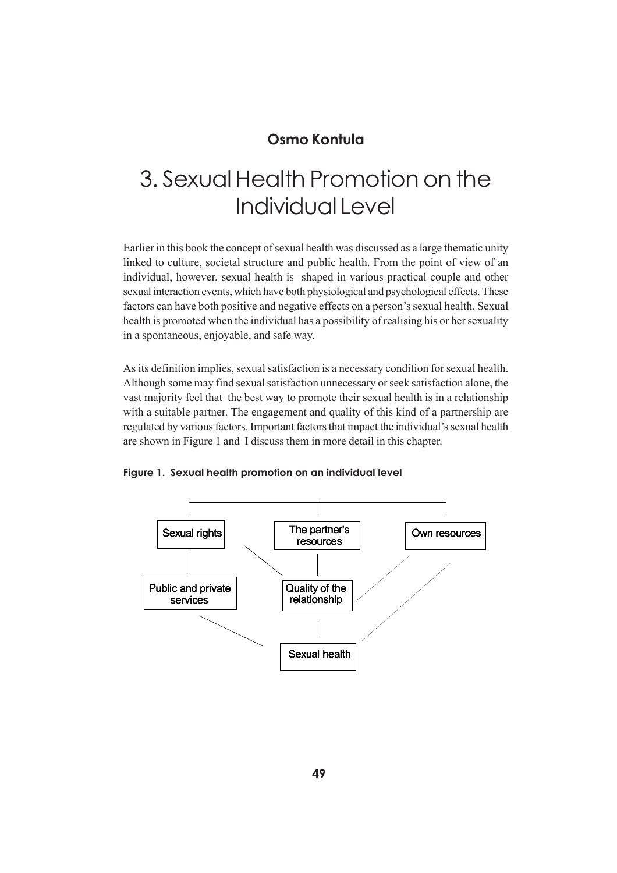#### **Osmo Kontula**

# 3. Sexual Health Promotion on the Individual Level

Earlier in this book the concept of sexual health was discussed as a large thematic unity linked to culture, societal structure and public health. From the point of view of an individual, however, sexual health is shaped in various practical couple and other sexual interaction events, which have both physiological and psychological effects. These factors can have both positive and negative effects on a person's sexual health. Sexual health is promoted when the individual has a possibility of realising his or her sexuality in a spontaneous, enjoyable, and safe way.

As its definition implies, sexual satisfaction is a necessary condition for sexual health. Although some may find sexual satisfaction unnecessary or seek satisfaction alone, the vast majority feel that the best way to promote their sexual health is in a relationship with a suitable partner. The engagement and quality of this kind of a partnership are regulated by various factors. Important factors that impact the individual's sexual health are shown in Figure 1 and I discuss them in more detail in this chapter.



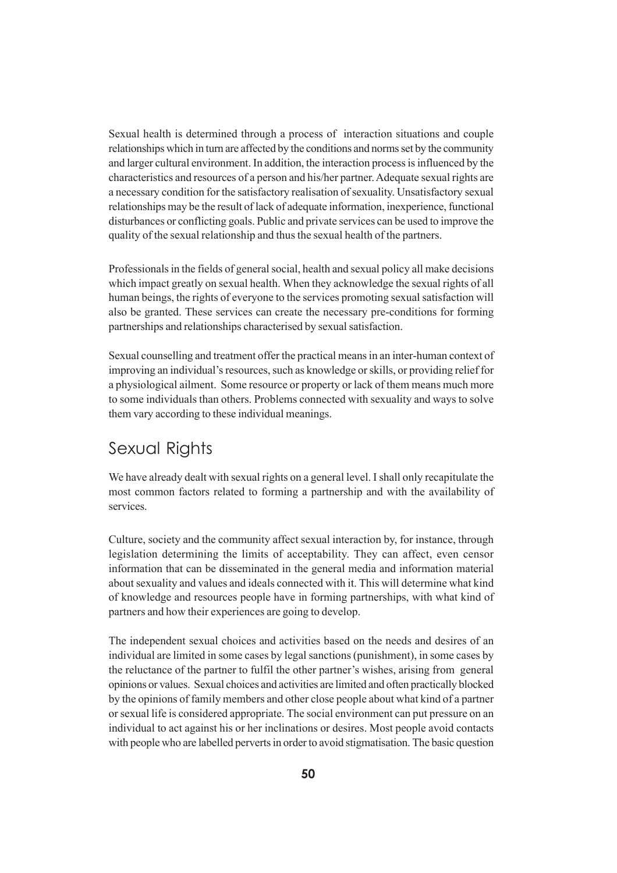Sexual health is determined through a process of interaction situations and couple relationships which in turn are affected by the conditions and norms set by the community and larger cultural environment. In addition, the interaction process is influenced by the characteristics and resources of a person and his/her partner. Adequate sexual rights are a necessary condition for the satisfactory realisation of sexuality. Unsatisfactory sexual relationships may be the result of lack of adequate information, inexperience, functional disturbances or conflicting goals. Public and private services can be used to improve the quality of the sexual relationship and thus the sexual health of the partners.

Professionals in the fields of general social, health and sexual policy all make decisions which impact greatly on sexual health. When they acknowledge the sexual rights of all human beings, the rights of everyone to the services promoting sexual satisfaction will also be granted. These services can create the necessary pre-conditions for forming partnerships and relationships characterised by sexual satisfaction.

Sexual counselling and treatment offer the practical means in an inter-human context of improving an individual's resources, such as knowledge or skills, or providing relief for a physiological ailment. Some resource or property or lack of them means much more to some individuals than others. Problems connected with sexuality and ways to solve them vary according to these individual meanings.

#### Sexual Rights

We have already dealt with sexual rights on a general level. I shall only recapitulate the most common factors related to forming a partnership and with the availability of services.

Culture, society and the community affect sexual interaction by, for instance, through legislation determining the limits of acceptability. They can affect, even censor information that can be disseminated in the general media and information material about sexuality and values and ideals connected with it. This will determine what kind of knowledge and resources people have in forming partnerships, with what kind of partners and how their experiences are going to develop.

The independent sexual choices and activities based on the needs and desires of an individual are limited in some cases by legal sanctions (punishment), in some cases by the reluctance of the partner to fulfil the other partner's wishes, arising from general opinions or values. Sexual choices and activities are limited and often practically blocked by the opinions of family members and other close people about what kind of a partner or sexual life is considered appropriate. The social environment can put pressure on an individual to act against his or her inclinations or desires. Most people avoid contacts with people who are labelled perverts in order to avoid stigmatisation. The basic question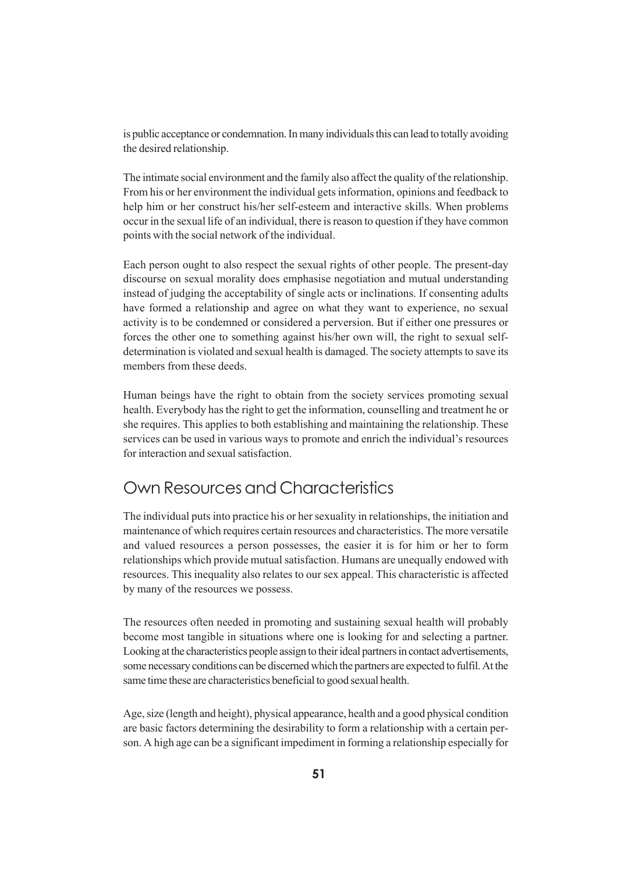is public acceptance or condemnation. In many individuals this can lead to totally avoiding the desired relationship.

The intimate social environment and the family also affect the quality of the relationship. From his or her environment the individual gets information, opinions and feedback to help him or her construct his/her self-esteem and interactive skills. When problems occur in the sexual life of an individual, there is reason to question if they have common points with the social network of the individual.

Each person ought to also respect the sexual rights of other people. The present-day discourse on sexual morality does emphasise negotiation and mutual understanding instead of judging the acceptability of single acts or inclinations. If consenting adults have formed a relationship and agree on what they want to experience, no sexual activity is to be condemned or considered a perversion. But if either one pressures or forces the other one to something against his/her own will, the right to sexual selfdetermination is violated and sexual health is damaged. The society attempts to save its members from these deeds.

Human beings have the right to obtain from the society services promoting sexual health. Everybody has the right to get the information, counselling and treatment he or she requires. This applies to both establishing and maintaining the relationship. These services can be used in various ways to promote and enrich the individual's resources for interaction and sexual satisfaction.

# Own Resources and Characteristics

The individual puts into practice his or her sexuality in relationships, the initiation and maintenance of which requires certain resources and characteristics. The more versatile and valued resources a person possesses, the easier it is for him or her to form relationships which provide mutual satisfaction. Humans are unequally endowed with resources. This inequality also relates to our sex appeal. This characteristic is affected by many of the resources we possess.

The resources often needed in promoting and sustaining sexual health will probably become most tangible in situations where one is looking for and selecting a partner. Looking at the characteristics people assign to their ideal partners in contact advertisements, some necessary conditions can be discerned which the partners are expected to fulfil. At the same time these are characteristics beneficial to good sexual health.

Age, size (length and height), physical appearance, health and a good physical condition are basic factors determining the desirability to form a relationship with a certain person. A high age can be a significant impediment in forming a relationship especially for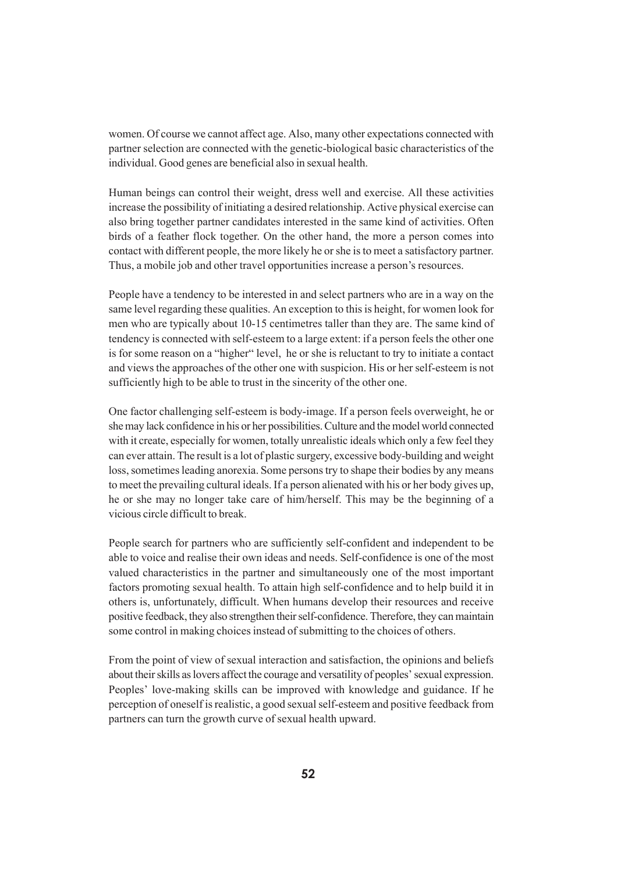women. Of course we cannot affect age. Also, many other expectations connected with partner selection are connected with the genetic-biological basic characteristics of the individual. Good genes are beneficial also in sexual health.

Human beings can control their weight, dress well and exercise. All these activities increase the possibility of initiating a desired relationship. Active physical exercise can also bring together partner candidates interested in the same kind of activities. Often birds of a feather flock together. On the other hand, the more a person comes into contact with different people, the more likely he or she is to meet a satisfactory partner. Thus, a mobile job and other travel opportunities increase a person's resources.

People have a tendency to be interested in and select partners who are in a way on the same level regarding these qualities. An exception to this is height, for women look for men who are typically about 10-15 centimetres taller than they are. The same kind of tendency is connected with self-esteem to a large extent: if a person feels the other one is for some reason on a "higher" level, he or she is reluctant to try to initiate a contact and views the approaches of the other one with suspicion. His or her self-esteem is not sufficiently high to be able to trust in the sincerity of the other one.

One factor challenging self-esteem is body-image. If a person feels overweight, he or she may lack confidence in his or her possibilities. Culture and the model world connected with it create, especially for women, totally unrealistic ideals which only a few feel they can ever attain. The result is a lot of plastic surgery, excessive body-building and weight loss, sometimes leading anorexia. Some persons try to shape their bodies by any means to meet the prevailing cultural ideals. If a person alienated with his or her body gives up, he or she may no longer take care of him/herself. This may be the beginning of a vicious circle difficult to break.

People search for partners who are sufficiently self-confident and independent to be able to voice and realise their own ideas and needs. Self-confidence is one of the most valued characteristics in the partner and simultaneously one of the most important factors promoting sexual health. To attain high self-confidence and to help build it in others is, unfortunately, difficult. When humans develop their resources and receive positive feedback, they also strengthen their self-confidence. Therefore, they can maintain some control in making choices instead of submitting to the choices of others.

From the point of view of sexual interaction and satisfaction, the opinions and beliefs about their skills as lovers affect the courage and versatility of peoples' sexual expression. Peoples' love-making skills can be improved with knowledge and guidance. If he perception of oneself is realistic, a good sexual self-esteem and positive feedback from partners can turn the growth curve of sexual health upward.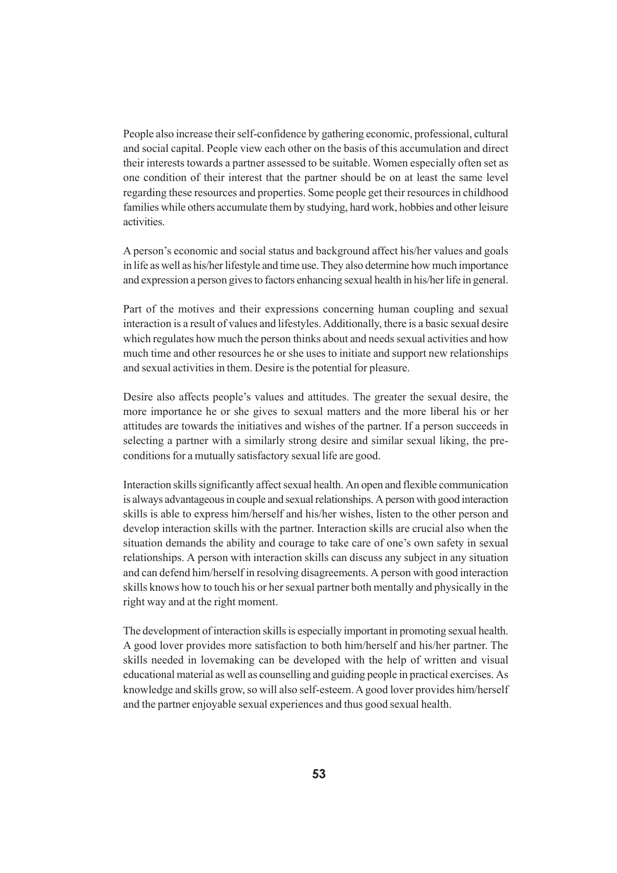People also increase their self-confidence by gathering economic, professional, cultural and social capital. People view each other on the basis of this accumulation and direct their interests towards a partner assessed to be suitable. Women especially often set as one condition of their interest that the partner should be on at least the same level regarding these resources and properties. Some people get their resources in childhood families while others accumulate them by studying, hard work, hobbies and other leisure activities.

A person's economic and social status and background affect his/her values and goals in life as well as his/her lifestyle and time use. They also determine how much importance and expression a person gives to factors enhancing sexual health in his/her life in general.

Part of the motives and their expressions concerning human coupling and sexual interaction is a result of values and lifestyles. Additionally, there is a basic sexual desire which regulates how much the person thinks about and needs sexual activities and how much time and other resources he or she uses to initiate and support new relationships and sexual activities in them. Desire is the potential for pleasure.

Desire also affects people's values and attitudes. The greater the sexual desire, the more importance he or she gives to sexual matters and the more liberal his or her attitudes are towards the initiatives and wishes of the partner. If a person succeeds in selecting a partner with a similarly strong desire and similar sexual liking, the preconditions for a mutually satisfactory sexual life are good.

Interaction skills significantly affect sexual health. An open and flexible communication is always advantageous in couple and sexual relationships. A person with good interaction skills is able to express him/herself and his/her wishes, listen to the other person and develop interaction skills with the partner. Interaction skills are crucial also when the situation demands the ability and courage to take care of one's own safety in sexual relationships. A person with interaction skills can discuss any subject in any situation and can defend him/herself in resolving disagreements. A person with good interaction skills knows how to touch his or her sexual partner both mentally and physically in the right way and at the right moment.

The development of interaction skills is especially important in promoting sexual health. A good lover provides more satisfaction to both him/herself and his/her partner. The skills needed in lovemaking can be developed with the help of written and visual educational material as well as counselling and guiding people in practical exercises. As knowledge and skills grow, so will also self-esteem. A good lover provides him/herself and the partner enjoyable sexual experiences and thus good sexual health.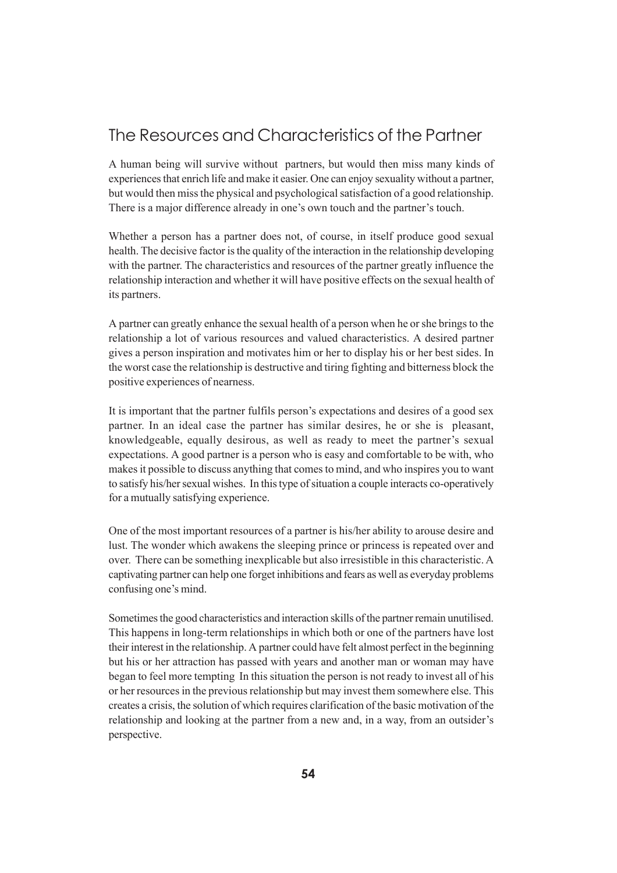## The Resources and Characteristics of the Partner

A human being will survive without partners, but would then miss many kinds of experiences that enrich life and make it easier. One can enjoy sexuality without a partner, but would then miss the physical and psychological satisfaction of a good relationship. There is a major difference already in one's own touch and the partner's touch.

Whether a person has a partner does not, of course, in itself produce good sexual health. The decisive factor is the quality of the interaction in the relationship developing with the partner. The characteristics and resources of the partner greatly influence the relationship interaction and whether it will have positive effects on the sexual health of its partners.

A partner can greatly enhance the sexual health of a person when he or she brings to the relationship a lot of various resources and valued characteristics. A desired partner gives a person inspiration and motivates him or her to display his or her best sides. In the worst case the relationship is destructive and tiring fighting and bitterness block the positive experiences of nearness.

It is important that the partner fulfils person's expectations and desires of a good sex partner. In an ideal case the partner has similar desires, he or she is pleasant, knowledgeable, equally desirous, as well as ready to meet the partner's sexual expectations. A good partner is a person who is easy and comfortable to be with, who makes it possible to discuss anything that comes to mind, and who inspires you to want to satisfy his/her sexual wishes. In this type of situation a couple interacts co-operatively for a mutually satisfying experience.

One of the most important resources of a partner is his/her ability to arouse desire and lust. The wonder which awakens the sleeping prince or princess is repeated over and over. There can be something inexplicable but also irresistible in this characteristic. A captivating partner can help one forget inhibitions and fears as well as everyday problems confusing one's mind.

Sometimes the good characteristics and interaction skills of the partner remain unutilised. This happens in long-term relationships in which both or one of the partners have lost their interest in the relationship. A partner could have felt almost perfect in the beginning but his or her attraction has passed with years and another man or woman may have began to feel more tempting In this situation the person is not ready to invest all of his or her resources in the previous relationship but may invest them somewhere else. This creates a crisis, the solution of which requires clarification of the basic motivation of the relationship and looking at the partner from a new and, in a way, from an outsider's perspective.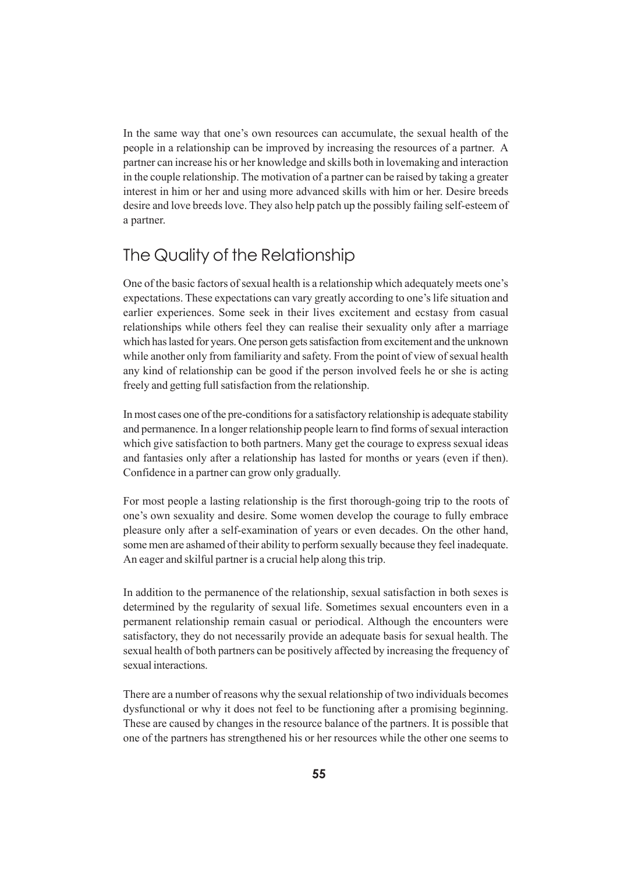In the same way that one's own resources can accumulate, the sexual health of the people in a relationship can be improved by increasing the resources of a partner. A partner can increase his or her knowledge and skills both in lovemaking and interaction in the couple relationship. The motivation of a partner can be raised by taking a greater interest in him or her and using more advanced skills with him or her. Desire breeds desire and love breeds love. They also help patch up the possibly failing self-esteem of a partner.

## The Quality of the Relationship

One of the basic factors of sexual health is a relationship which adequately meets one's expectations. These expectations can vary greatly according to one's life situation and earlier experiences. Some seek in their lives excitement and ecstasy from casual relationships while others feel they can realise their sexuality only after a marriage which has lasted for years. One person gets satisfaction from excitement and the unknown while another only from familiarity and safety. From the point of view of sexual health any kind of relationship can be good if the person involved feels he or she is acting freely and getting full satisfaction from the relationship.

In most cases one of the pre-conditions for a satisfactory relationship is adequate stability and permanence. In a longer relationship people learn to find forms of sexual interaction which give satisfaction to both partners. Many get the courage to express sexual ideas and fantasies only after a relationship has lasted for months or years (even if then). Confidence in a partner can grow only gradually.

For most people a lasting relationship is the first thorough-going trip to the roots of one's own sexuality and desire. Some women develop the courage to fully embrace pleasure only after a self-examination of years or even decades. On the other hand, some men are ashamed of their ability to perform sexually because they feel inadequate. An eager and skilful partner is a crucial help along this trip.

In addition to the permanence of the relationship, sexual satisfaction in both sexes is determined by the regularity of sexual life. Sometimes sexual encounters even in a permanent relationship remain casual or periodical. Although the encounters were satisfactory, they do not necessarily provide an adequate basis for sexual health. The sexual health of both partners can be positively affected by increasing the frequency of sexual interactions.

There are a number of reasons why the sexual relationship of two individuals becomes dysfunctional or why it does not feel to be functioning after a promising beginning. These are caused by changes in the resource balance of the partners. It is possible that one of the partners has strengthened his or her resources while the other one seems to